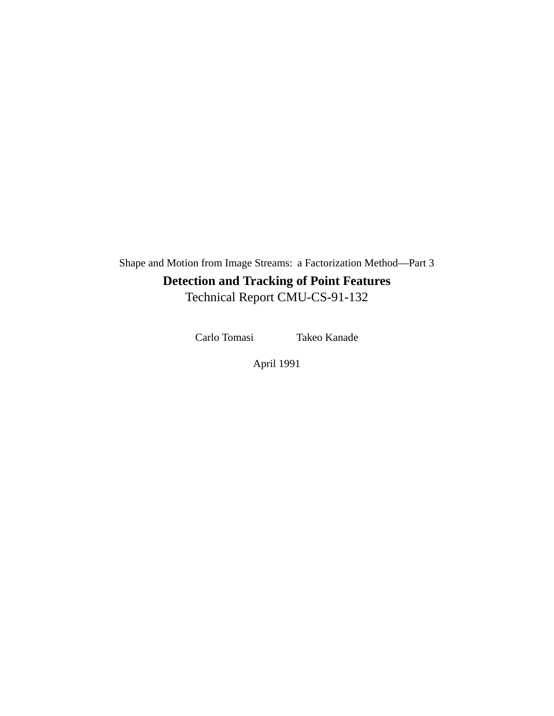Shape and Motion from Image Streams: a Factorization Method—Part 3 **Detection and Tracking of Point Features** Technical Report CMU-CS-91-132

Carlo Tomasi Takeo Kanade

April 1991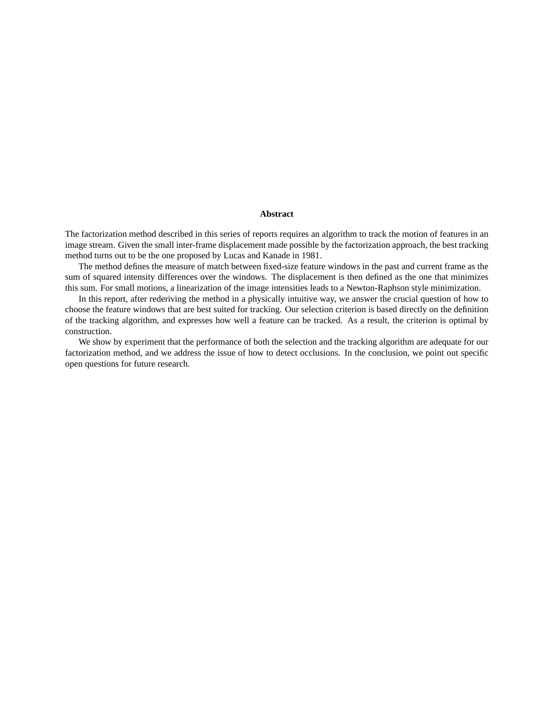#### **Abstract**

The factorization method described in this series of reports requires an algorithm to track the motion of features in an image stream. Given the small inter-frame displacement made possible by the factorization approach, the best tracking method turns out to be the one proposed by Lucas and Kanade in 1981.

The method defines the measure of match between fixed-size feature windows in the past and current frame as the sum of squared intensity differences over the windows. The displacement is then defined as the one that minimizes this sum. For small motions, a linearization of the image intensities leads to a Newton-Raphson style minimization.

In this report, after rederiving the method in a physically intuitive way, we answer the crucial question of how to choose the feature windows that are best suited for tracking. Our selection criterion is based directly on the definition of the tracking algorithm, and expresses how well a feature can be tracked. As a result, the criterion is optimal by construction.

We show by experiment that the performance of both the selection and the tracking algorithm are adequate for our factorization method, and we address the issue of how to detect occlusions. In the conclusion, we point out specific open questions for future research.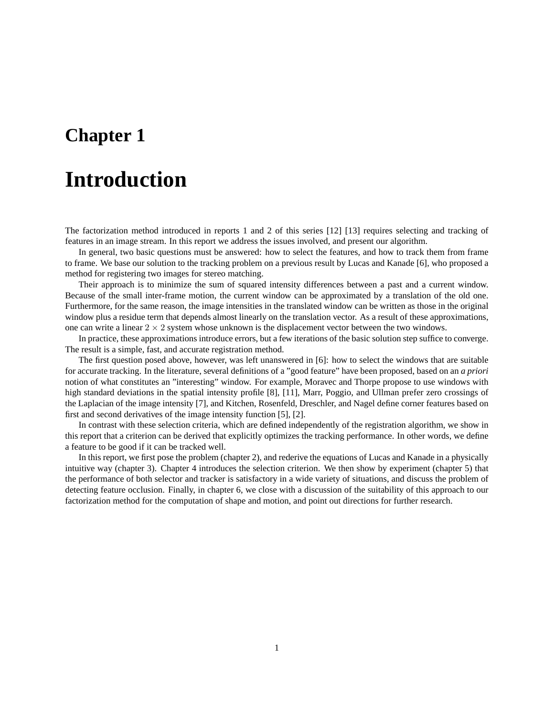# **Introduction**

The factorization method introduced in reports 1 and 2 of this series [12] [13] requires selecting and tracking of features in an image stream. In this report we address the issues involved, and present our algorithm.

In general, two basic questions must be answered: how to select the features, and how to track them from frame to frame. We base our solution to the tracking problem on a previous result by Lucas and Kanade [6], who proposed a method for registering two images for stereo matching.

Their approach is to minimize the sum of squared intensity differences between a past and a current window. Because of the small inter-frame motion, the current window can be approximated by a translation of the old one. Furthermore, for the same reason, the image intensities in the translated window can be written as those in the original window plus a residue term that depends almost linearly on the translation vector. As a result of these approximations, one can write a linear  $2 \times 2$  system whose unknown is the displacement vector between the two windows.

In practice, these approximations introduce errors, but a few iterations of the basic solution step suffice to converge. The result is a simple, fast, and accurate registration method.

The first question posed above, however, was left unanswered in [6]: how to select the windows that are suitable for accurate tracking. In the literature, several definitions of a "good feature" have been proposed, based on an *a priori* notion of what constitutes an "interesting" window. For example, Moravec and Thorpe propose to use windows with high standard deviations in the spatial intensity profile [8], [11], Marr, Poggio, and Ullman prefer zero crossings of the Laplacian of the image intensity [7], and Kitchen, Rosenfeld, Dreschler, and Nagel define corner features based on first and second derivatives of the image intensity function [5], [2].

In contrast with these selection criteria, which are defined independently of the registration algorithm, we show in this report that a criterion can be derived that explicitly optimizes the tracking performance. In other words, we define a feature to be good if it can be tracked well.

In this report, we first pose the problem (chapter 2), and rederive the equations of Lucas and Kanade in a physically intuitive way (chapter 3). Chapter 4 introduces the selection criterion. We then show by experiment (chapter 5) that the performance of both selector and tracker is satisfactory in a wide variety of situations, and discuss the problem of detecting feature occlusion. Finally, in chapter 6, we close with a discussion of the suitability of this approach to our factorization method for the computation of shape and motion, and point out directions for further research.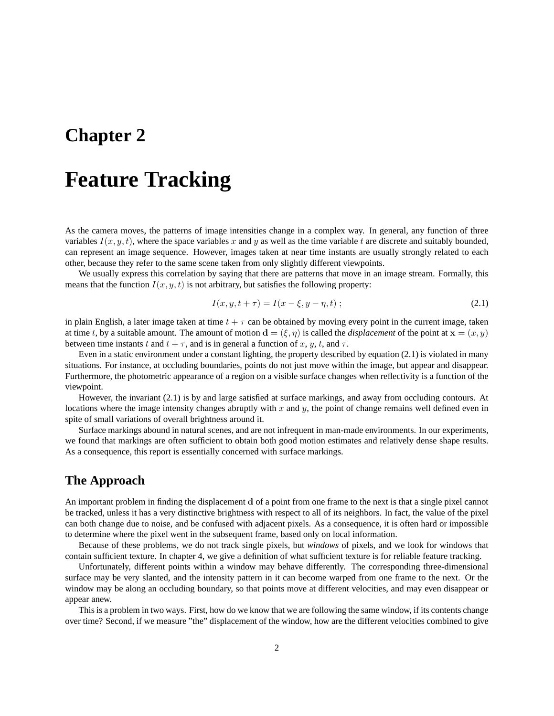## **Feature Tracking**

As the camera moves, the patterns of image intensities change in a complex way. In general, any function of three variables  $I(x, y, t)$ , where the space variables x and y as well as the time variable t are discrete and suitably bounded, can represent an image sequence. However, images taken at near time instants are usually strongly related to each other, because they refer to the same scene taken from only slightly different viewpoints.

We usually express this correlation by saying that there are patterns that move in an image stream. Formally, this means that the function  $I(x, y, t)$  is not arbitrary, but satisfies the following property:

$$
I(x, y, t + \tau) = I(x - \xi, y - \eta, t); \tag{2.1}
$$

in plain English, a later image taken at time  $t + \tau$  can be obtained by moving every point in the current image, taken at time t, by a suitable amount. The amount of motion  $\mathbf{d} = (\xi, \eta)$  is called the *displacement* of the point at  $\mathbf{x} = (x, y)$ between time instants t and  $t + \tau$ , and is in general a function of x, y, t, and  $\tau$ .

Even in a static environment under a constant lighting, the property described by equation (2.1) is violated in many situations. For instance, at occluding boundaries, points do not just move within the image, but appear and disappear. Furthermore, the photometric appearance of a region on a visible surface changes when reflectivity is a function of the viewpoint.

However, the invariant (2.1) is by and large satisfied at surface markings, and away from occluding contours. At locations where the image intensity changes abruptly with  $x$  and  $y$ , the point of change remains well defined even in spite of small variations of overall brightness around it.

Surface markings abound in natural scenes, and are not infrequent in man-made environments. In our experiments, we found that markings are often sufficient to obtain both good motion estimates and relatively dense shape results. As a consequence, this report is essentially concerned with surface markings.

### **The Approach**

An important problem in finding the displacement d of a point from one frame to the next is that a single pixel cannot be tracked, unless it has a very distinctive brightness with respect to all of its neighbors. In fact, the value of the pixel can both change due to noise, and be confused with adjacent pixels. As a consequence, it is often hard or impossible to determine where the pixel went in the subsequent frame, based only on local information.

Because of these problems, we do not track single pixels, but *windows* of pixels, and we look for windows that contain sufficient texture. In chapter 4, we give a definition of what sufficient texture is for reliable feature tracking.

Unfortunately, different points within a window may behave differently. The corresponding three-dimensional surface may be very slanted, and the intensity pattern in it can become warped from one frame to the next. Or the window may be along an occluding boundary, so that points move at different velocities, and may even disappear or appear anew.

This is a problem in two ways. First, how do we know that we are following the same window, if its contents change over time? Second, if we measure "the" displacement of the window, how are the different velocities combined to give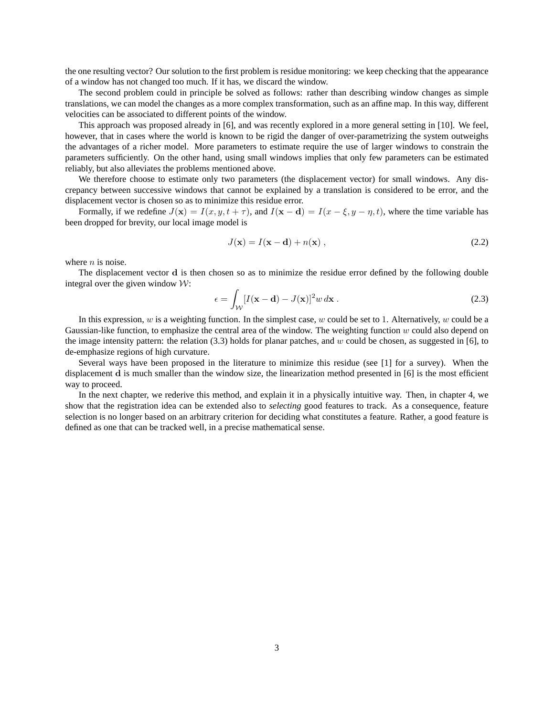the one resulting vector? Our solution to the first problem is residue monitoring: we keep checking that the appearance of a window has not changed too much. If it has, we discard the window.

The second problem could in principle be solved as follows: rather than describing window changes as simple translations, we can model the changes as a more complex transformation, such as an affine map. In this way, different velocities can be associated to different points of the window.

This approach was proposed already in [6], and was recently explored in a more general setting in [10]. We feel, however, that in cases where the world is known to be rigid the danger of over-parametrizing the system outweighs the advantages of a richer model. More parameters to estimate require the use of larger windows to constrain the parameters sufficiently. On the other hand, using small windows implies that only few parameters can be estimated reliably, but also alleviates the problems mentioned above.

We therefore choose to estimate only two parameters (the displacement vector) for small windows. Any discrepancy between successive windows that cannot be explained by a translation is considered to be error, and the displacement vector is chosen so as to minimize this residue error.

Formally, if we redefine  $J(\mathbf{x}) = I(x, y, t + \tau)$ , and  $I(\mathbf{x} - \mathbf{d}) = I(x - \xi, y - \eta, t)$ , where the time variable has been dropped for brevity, our local image model is

$$
J(\mathbf{x}) = I(\mathbf{x} - \mathbf{d}) + n(\mathbf{x}), \qquad (2.2)
$$

where  $n$  is noise.

The displacement vector d is then chosen so as to minimize the residue error defined by the following double integral over the given window  $W$ :

$$
\epsilon = \int_{\mathcal{W}} [I(\mathbf{x} - \mathbf{d}) - J(\mathbf{x})]^2 w \, d\mathbf{x} \tag{2.3}
$$

In this expression, w is a weighting function. In the simplest case, w could be set to 1. Alternatively, w could be a Gaussian-like function, to emphasize the central area of the window. The weighting function  $w$  could also depend on the image intensity pattern: the relation  $(3.3)$  holds for planar patches, and w could be chosen, as suggested in [6], to de-emphasize regions of high curvature.

Several ways have been proposed in the literature to minimize this residue (see [1] for a survey). When the displacement d is much smaller than the window size, the linearization method presented in [6] is the most efficient way to proceed.

In the next chapter, we rederive this method, and explain it in a physically intuitive way. Then, in chapter 4, we show that the registration idea can be extended also to *selecting* good features to track. As a consequence, feature selection is no longer based on an arbitrary criterion for deciding what constitutes a feature. Rather, a good feature is defined as one that can be tracked well, in a precise mathematical sense.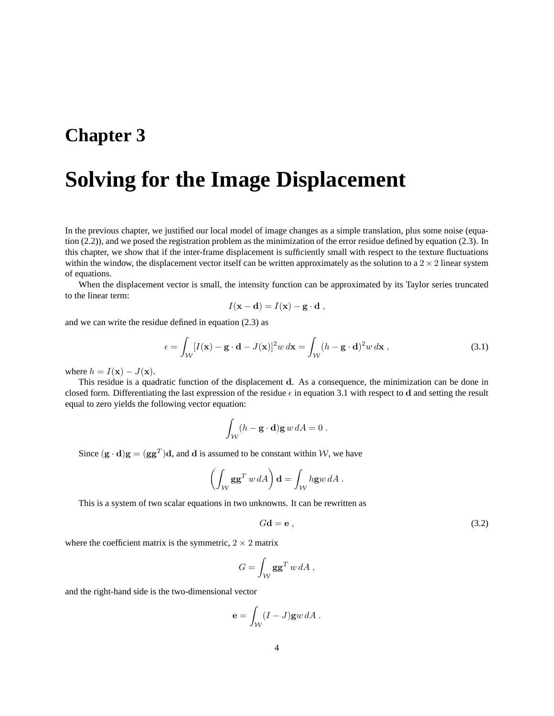# **Solving for the Image Displacement**

In the previous chapter, we justified our local model of image changes as a simple translation, plus some noise (equation  $(2.2)$ ), and we posed the registration problem as the minimization of the error residue defined by equation  $(2.3)$ . In this chapter, we show that if the inter-frame displacement is sufficiently small with respect to the texture fluctuations within the window, the displacement vector itself can be written approximately as the solution to a  $2 \times 2$  linear system of equations.

When the displacement vector is small, the intensity function can be approximated by its Taylor series truncated to the linear term:

$$
I(\mathbf{x} - \mathbf{d}) = I(\mathbf{x}) - \mathbf{g} \cdot \mathbf{d} ,
$$

and we can write the residue defined in equation (2.3) as

$$
\epsilon = \int_{\mathcal{W}} [I(\mathbf{x}) - \mathbf{g} \cdot \mathbf{d} - J(\mathbf{x})]^2 w \, d\mathbf{x} = \int_{\mathcal{W}} (h - \mathbf{g} \cdot \mathbf{d})^2 w \, d\mathbf{x}, \tag{3.1}
$$

where  $h = I(\mathbf{x}) - J(\mathbf{x})$ .

This residue is a quadratic function of the displacement d. As a consequence, the minimization can be done in closed form. Differentiating the last expression of the residue  $\epsilon$  in equation 3.1 with respect to d and setting the result equal to zero yields the following vector equation:

$$
\int_{\mathcal{W}} (h - \mathbf{g} \cdot \mathbf{d}) \mathbf{g} \, w \, dA = 0 \, .
$$

Since  $(g \cdot d)g = (gg^T)d$ , and d is assumed to be constant within W, we have

$$
\left(\int_{\mathcal{W}} \mathbf{g} \mathbf{g}^T w \, dA\right) \mathbf{d} = \int_{\mathcal{W}} h \mathbf{g} w \, dA \, .
$$

This is a system of two scalar equations in two unknowns. It can be rewritten as

$$
Gd = e , \t\t(3.2)
$$

where the coefficient matrix is the symmetric,  $2 \times 2$  matrix

$$
G = \int_{\mathcal{W}} \mathbf{g} \mathbf{g}^T \, w \, dA \,,
$$

and the right-hand side is the two-dimensional vector

$$
\mathbf{e} = \int_{\mathcal{W}} (I - J) \mathbf{g} w \, dA \, .
$$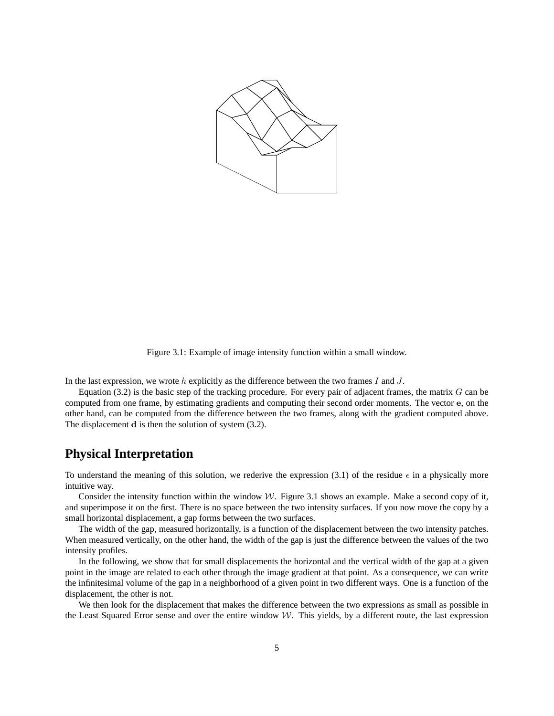

Figure 3.1: Example of image intensity function within a small window.

In the last expression, we wrote h explicitly as the difference between the two frames I and  $J$ .

Equation (3.2) is the basic step of the tracking procedure. For every pair of adjacent frames, the matrix  $G$  can be computed from one frame, by estimating gradients and computing their second order moments. The vector e, on the other hand, can be computed from the difference between the two frames, along with the gradient computed above. The displacement d is then the solution of system (3.2).

#### **Physical Interpretation**

To understand the meaning of this solution, we rederive the expression (3.1) of the residue  $\epsilon$  in a physically more intuitive way.

Consider the intensity function within the window  $W$ . Figure 3.1 shows an example. Make a second copy of it, and superimpose it on the first. There is no space between the two intensity surfaces. If you now move the copy by a small horizontal displacement, a gap forms between the two surfaces.

The width of the gap, measured horizontally, is a function of the displacement between the two intensity patches. When measured vertically, on the other hand, the width of the gap is just the difference between the values of the two intensity profiles.

In the following, we show that for small displacements the horizontal and the vertical width of the gap at a given point in the image are related to each other through the image gradient at that point. As a consequence, we can write the infinitesimal volume of the gap in a neighborhood of a given point in two different ways. One is a function of the displacement, the other is not.

We then look for the displacement that makes the difference between the two expressions as small as possible in the Least Squared Error sense and over the entire window  $W$ . This yields, by a different route, the last expression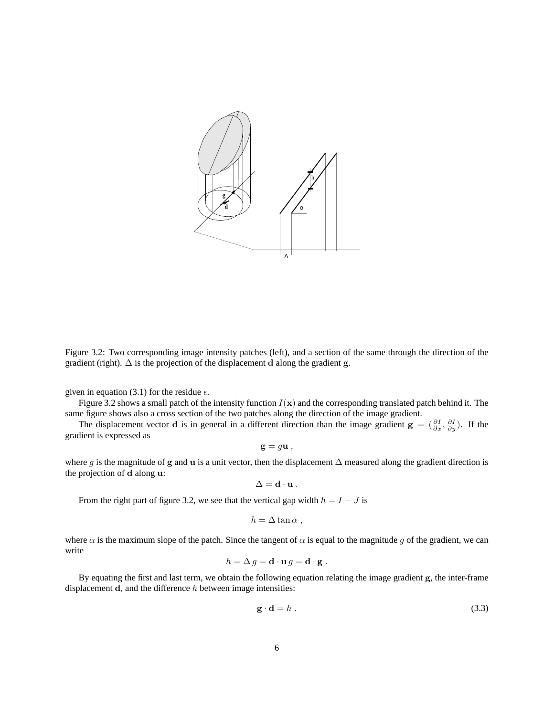

Figure 3.2: Two corresponding image intensity patches (left), and a section of the same through the direction of the gradient (right).  $\Delta$  is the projection of the displacement d along the gradient g.

given in equation (3.1) for the residue  $\epsilon$ .

Figure 3.2 shows a small patch of the intensity function  $I(x)$  and the corresponding translated patch behind it. The same figure shows also a cross section of the two patches along the direction of the image gradient.

The displacement vector **d** is in general in a different direction than the image gradient  $\mathbf{g} = \left(\frac{\partial I}{\partial x}, \frac{\partial I}{\partial y}\right)$ . If the gradient is expressed as

$$
\mathbf{g} = g\mathbf{u} ,
$$

where g is the magnitude of g and u is a unit vector, then the displacement  $\Delta$  measured along the gradient direction is the projection of d along u:

$$
\Delta = \mathbf{d} \cdot \mathbf{u} \ .
$$

From the right part of figure 3.2, we see that the vertical gap width  $h = I - J$  is

$$
h = \Delta \tan \alpha ,
$$

where  $\alpha$  is the maximum slope of the patch. Since the tangent of  $\alpha$  is equal to the magnitude g of the gradient, we can write

$$
h = \Delta g = \mathbf{d} \cdot \mathbf{u} g = \mathbf{d} \cdot \mathbf{g} .
$$

By equating the first and last term, we obtain the following equation relating the image gradient g, the inter-frame displacement  $d$ , and the difference  $h$  between image intensities:

$$
\mathbf{g} \cdot \mathbf{d} = h \tag{3.3}
$$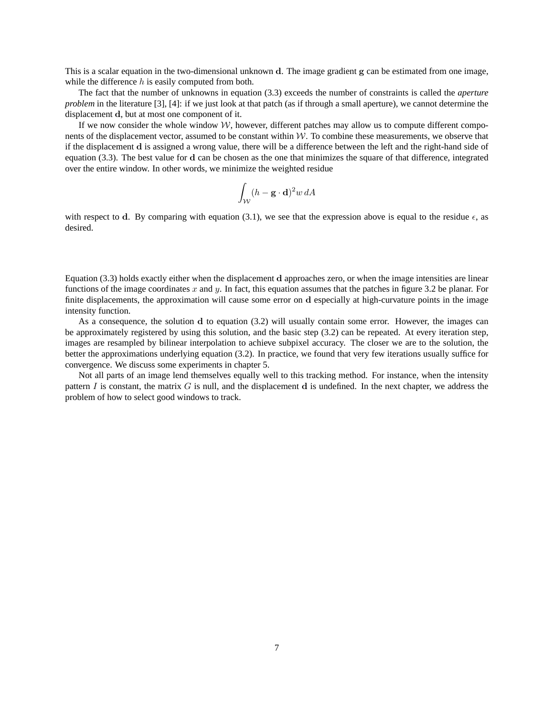This is a scalar equation in the two-dimensional unknown d. The image gradient g can be estimated from one image, while the difference  $h$  is easily computed from both.

The fact that the number of unknowns in equation (3.3) exceeds the number of constraints is called the *aperture problem* in the literature [3], [4]: if we just look at that patch (as if through a small aperture), we cannot determine the displacement d, but at most one component of it.

If we now consider the whole window  $W$ , however, different patches may allow us to compute different components of the displacement vector, assumed to be constant within  $W$ . To combine these measurements, we observe that if the displacement d is assigned a wrong value, there will be a difference between the left and the right-hand side of equation (3.3). The best value for d can be chosen as the one that minimizes the square of that difference, integrated over the entire window. In other words, we minimize the weighted residue

$$
\int_{\mathcal{W}} (h - \mathbf{g} \cdot \mathbf{d})^2 w \, dA
$$

with respect to d. By comparing with equation (3.1), we see that the expression above is equal to the residue  $\epsilon$ , as desired.

Equation (3.3) holds exactly either when the displacement d approaches zero, or when the image intensities are linear functions of the image coordinates x and y. In fact, this equation assumes that the patches in figure 3.2 be planar. For finite displacements, the approximation will cause some error on d especially at high-curvature points in the image intensity function.

As a consequence, the solution d to equation (3.2) will usually contain some error. However, the images can be approximately registered by using this solution, and the basic step (3.2) can be repeated. At every iteration step, images are resampled by bilinear interpolation to achieve subpixel accuracy. The closer we are to the solution, the better the approximations underlying equation (3.2). In practice, we found that very few iterations usually suffice for convergence. We discuss some experiments in chapter 5.

Not all parts of an image lend themselves equally well to this tracking method. For instance, when the intensity pattern I is constant, the matrix G is null, and the displacement d is undefined. In the next chapter, we address the problem of how to select good windows to track.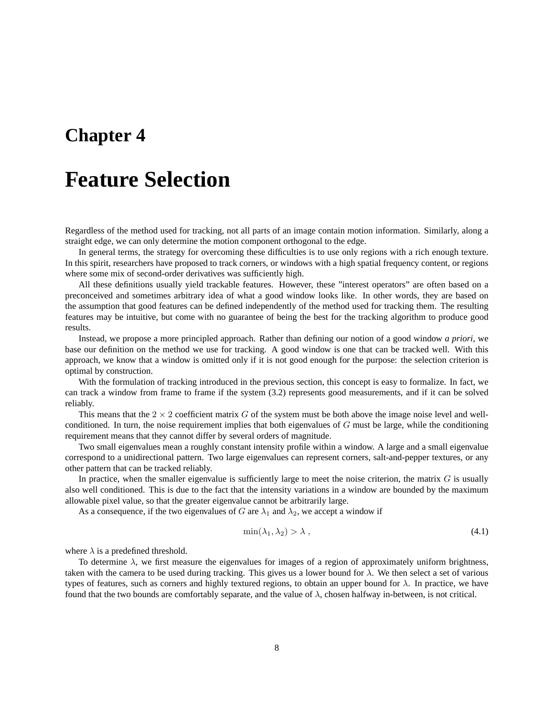## **Feature Selection**

Regardless of the method used for tracking, not all parts of an image contain motion information. Similarly, along a straight edge, we can only determine the motion component orthogonal to the edge.

In general terms, the strategy for overcoming these difficulties is to use only regions with a rich enough texture. In this spirit, researchers have proposed to track corners, or windows with a high spatial frequency content, or regions where some mix of second-order derivatives was sufficiently high.

All these definitions usually yield trackable features. However, these "interest operators" are often based on a preconceived and sometimes arbitrary idea of what a good window looks like. In other words, they are based on the assumption that good features can be defined independently of the method used for tracking them. The resulting features may be intuitive, but come with no guarantee of being the best for the tracking algorithm to produce good results.

Instead, we propose a more principled approach. Rather than defining our notion of a good window *a priori*, we base our definition on the method we use for tracking. A good window is one that can be tracked well. With this approach, we know that a window is omitted only if it is not good enough for the purpose: the selection criterion is optimal by construction.

With the formulation of tracking introduced in the previous section, this concept is easy to formalize. In fact, we can track a window from frame to frame if the system (3.2) represents good measurements, and if it can be solved reliably.

This means that the  $2 \times 2$  coefficient matrix G of the system must be both above the image noise level and wellconditioned. In turn, the noise requirement implies that both eigenvalues of  $G$  must be large, while the conditioning requirement means that they cannot differ by several orders of magnitude.

Two small eigenvalues mean a roughly constant intensity profile within a window. A large and a small eigenvalue correspond to a unidirectional pattern. Two large eigenvalues can represent corners, salt-and-pepper textures, or any other pattern that can be tracked reliably.

In practice, when the smaller eigenvalue is sufficiently large to meet the noise criterion, the matrix  $G$  is usually also well conditioned. This is due to the fact that the intensity variations in a window are bounded by the maximum allowable pixel value, so that the greater eigenvalue cannot be arbitrarily large.

As a consequence, if the two eigenvalues of G are  $\lambda_1$  and  $\lambda_2$ , we accept a window if

$$
\min(\lambda_1, \lambda_2) > \lambda \tag{4.1}
$$

where  $\lambda$  is a predefined threshold.

To determine  $\lambda$ , we first measure the eigenvalues for images of a region of approximately uniform brightness, taken with the camera to be used during tracking. This gives us a lower bound for  $\lambda$ . We then select a set of various types of features, such as corners and highly textured regions, to obtain an upper bound for  $\lambda$ . In practice, we have found that the two bounds are comfortably separate, and the value of  $\lambda$ , chosen halfway in-between, is not critical.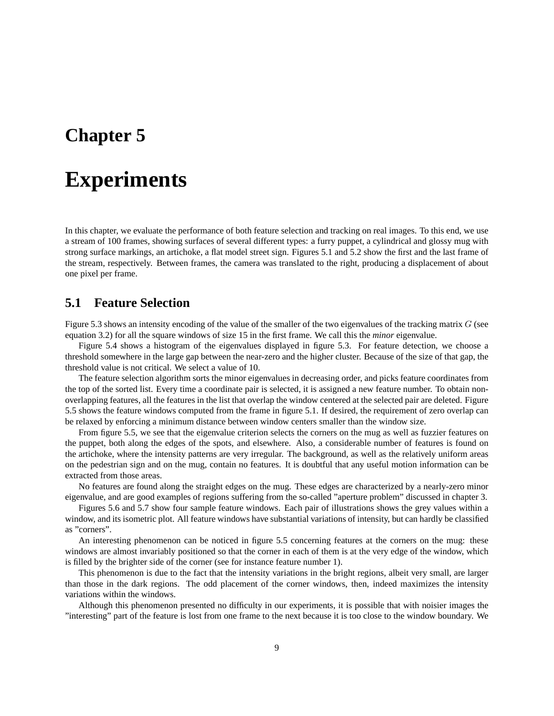## **Experiments**

In this chapter, we evaluate the performance of both feature selection and tracking on real images. To this end, we use a stream of 100 frames, showing surfaces of several different types: a furry puppet, a cylindrical and glossy mug with strong surface markings, an artichoke, a flat model street sign. Figures 5.1 and 5.2 show the first and the last frame of the stream, respectively. Between frames, the camera was translated to the right, producing a displacement of about one pixel per frame.

#### **5.1 Feature Selection**

Figure 5.3 shows an intensity encoding of the value of the smaller of the two eigenvalues of the tracking matrix  $G$  (see equation 3.2) for all the square windows of size 15 in the first frame. We call this the *minor* eigenvalue.

Figure 5.4 shows a histogram of the eigenvalues displayed in figure 5.3. For feature detection, we choose a threshold somewhere in the large gap between the near-zero and the higher cluster. Because of the size of that gap, the threshold value is not critical. We select a value of 10.

The feature selection algorithm sorts the minor eigenvalues in decreasing order, and picks feature coordinates from the top of the sorted list. Every time a coordinate pair is selected, it is assigned a new feature number. To obtain nonoverlapping features, all the features in the list that overlap the window centered at the selected pair are deleted. Figure 5.5 shows the feature windows computed from the frame in figure 5.1. If desired, the requirement of zero overlap can be relaxed by enforcing a minimum distance between window centers smaller than the window size.

From figure 5.5, we see that the eigenvalue criterion selects the corners on the mug as well as fuzzier features on the puppet, both along the edges of the spots, and elsewhere. Also, a considerable number of features is found on the artichoke, where the intensity patterns are very irregular. The background, as well as the relatively uniform areas on the pedestrian sign and on the mug, contain no features. It is doubtful that any useful motion information can be extracted from those areas.

No features are found along the straight edges on the mug. These edges are characterized by a nearly-zero minor eigenvalue, and are good examples of regions suffering from the so-called "aperture problem" discussed in chapter 3.

Figures 5.6 and 5.7 show four sample feature windows. Each pair of illustrations shows the grey values within a window, and its isometric plot. All feature windows have substantial variations of intensity, but can hardly be classified as "corners".

An interesting phenomenon can be noticed in figure 5.5 concerning features at the corners on the mug: these windows are almost invariably positioned so that the corner in each of them is at the very edge of the window, which is filled by the brighter side of the corner (see for instance feature number 1).

This phenomenon is due to the fact that the intensity variations in the bright regions, albeit very small, are larger than those in the dark regions. The odd placement of the corner windows, then, indeed maximizes the intensity variations within the windows.

Although this phenomenon presented no difficulty in our experiments, it is possible that with noisier images the "interesting" part of the feature is lost from one frame to the next because it is too close to the window boundary. We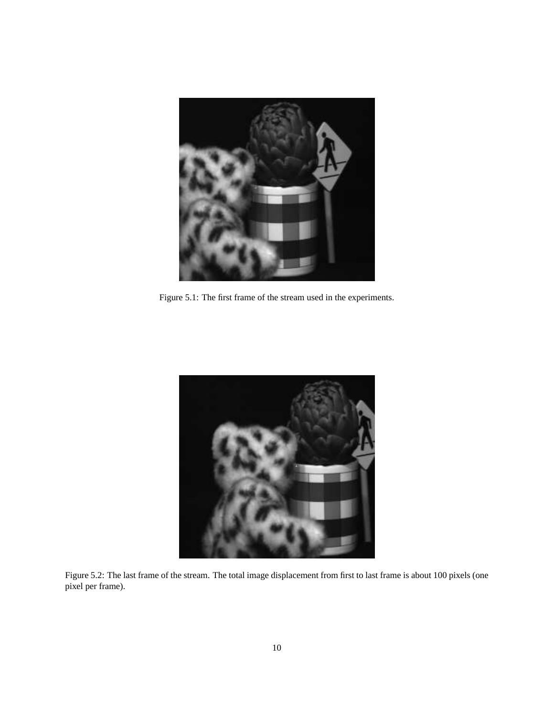

Figure 5.1: The first frame of the stream used in the experiments.



Figure 5.2: The last frame of the stream. The total image displacement from first to last frame is about 100 pixels (one pixel per frame).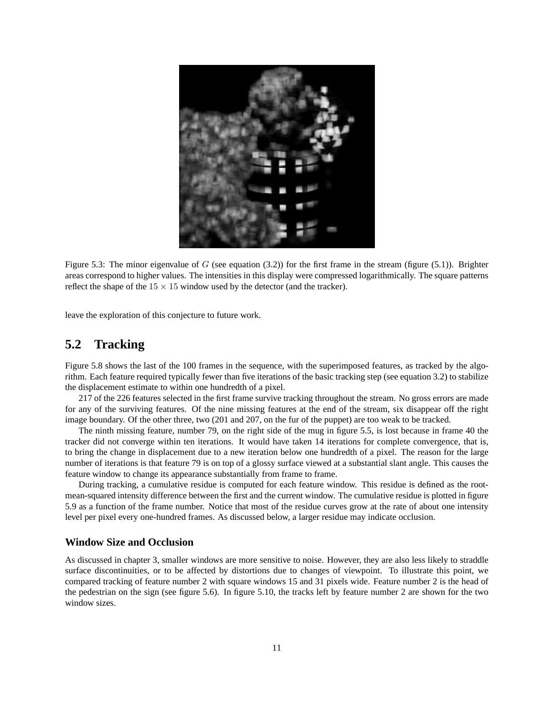

Figure 5.3: The minor eigenvalue of G (see equation  $(3.2)$ ) for the first frame in the stream (figure (5.1)). Brighter areas correspond to higher values. The intensities in this display were compressed logarithmically. The square patterns reflect the shape of the  $15 \times 15$  window used by the detector (and the tracker).

leave the exploration of this conjecture to future work.

### **5.2 Tracking**

Figure 5.8 shows the last of the 100 frames in the sequence, with the superimposed features, as tracked by the algorithm. Each feature required typically fewer than five iterations of the basic tracking step (see equation 3.2) to stabilize the displacement estimate to within one hundredth of a pixel.

217 of the 226 features selected in the first frame survive tracking throughout the stream. No gross errors are made for any of the surviving features. Of the nine missing features at the end of the stream, six disappear off the right image boundary. Of the other three, two (201 and 207, on the fur of the puppet) are too weak to be tracked.

The ninth missing feature, number 79, on the right side of the mug in figure 5.5, is lost because in frame 40 the tracker did not converge within ten iterations. It would have taken 14 iterations for complete convergence, that is, to bring the change in displacement due to a new iteration below one hundredth of a pixel. The reason for the large number of iterations is that feature 79 is on top of a glossy surface viewed at a substantial slant angle. This causes the feature window to change its appearance substantially from frame to frame.

During tracking, a cumulative residue is computed for each feature window. This residue is defined as the rootmean-squared intensity difference between the first and the current window. The cumulative residue is plotted in figure 5.9 as a function of the frame number. Notice that most of the residue curves grow at the rate of about one intensity level per pixel every one-hundred frames. As discussed below, a larger residue may indicate occlusion.

#### **Window Size and Occlusion**

As discussed in chapter 3, smaller windows are more sensitive to noise. However, they are also less likely to straddle surface discontinuities, or to be affected by distortions due to changes of viewpoint. To illustrate this point, we compared tracking of feature number 2 with square windows 15 and 31 pixels wide. Feature number 2 is the head of the pedestrian on the sign (see figure 5.6). In figure 5.10, the tracks left by feature number 2 are shown for the two window sizes.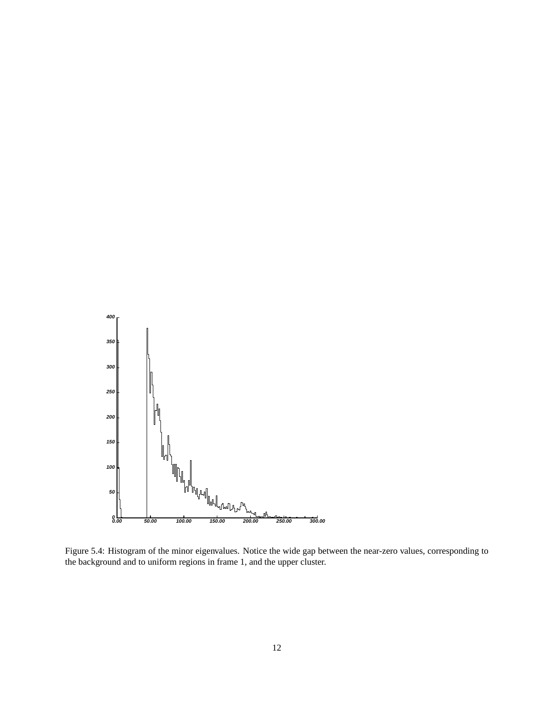

Figure 5.4: Histogram of the minor eigenvalues. Notice the wide gap between the near-zero values, corresponding to the background and to uniform regions in frame 1, and the upper cluster.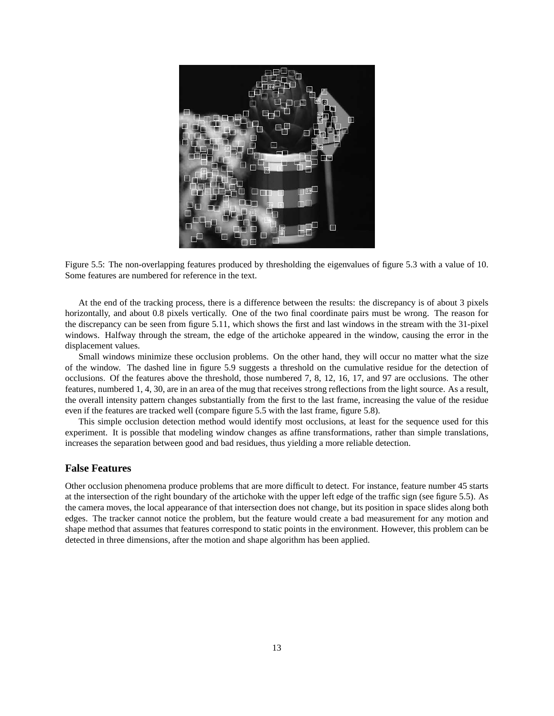

Figure 5.5: The non-overlapping features produced by thresholding the eigenvalues of figure 5.3 with a value of 10. Some features are numbered for reference in the text.

At the end of the tracking process, there is a difference between the results: the discrepancy is of about 3 pixels horizontally, and about 0.8 pixels vertically. One of the two final coordinate pairs must be wrong. The reason for the discrepancy can be seen from figure 5.11, which shows the first and last windows in the stream with the 31-pixel windows. Halfway through the stream, the edge of the artichoke appeared in the window, causing the error in the displacement values.

Small windows minimize these occlusion problems. On the other hand, they will occur no matter what the size of the window. The dashed line in figure 5.9 suggests a threshold on the cumulative residue for the detection of occlusions. Of the features above the threshold, those numbered 7, 8, 12, 16, 17, and 97 are occlusions. The other features, numbered 1, 4, 30, are in an area of the mug that receives strong reflections from the light source. As a result, the overall intensity pattern changes substantially from the first to the last frame, increasing the value of the residue even if the features are tracked well (compare figure 5.5 with the last frame, figure 5.8).

This simple occlusion detection method would identify most occlusions, at least for the sequence used for this experiment. It is possible that modeling window changes as affine transformations, rather than simple translations, increases the separation between good and bad residues, thus yielding a more reliable detection.

#### **False Features**

Other occlusion phenomena produce problems that are more difficult to detect. For instance, feature number 45 starts at the intersection of the right boundary of the artichoke with the upper left edge of the traffic sign (see figure 5.5). As the camera moves, the local appearance of that intersection does not change, but its position in space slides along both edges. The tracker cannot notice the problem, but the feature would create a bad measurement for any motion and shape method that assumes that features correspond to static points in the environment. However, this problem can be detected in three dimensions, after the motion and shape algorithm has been applied.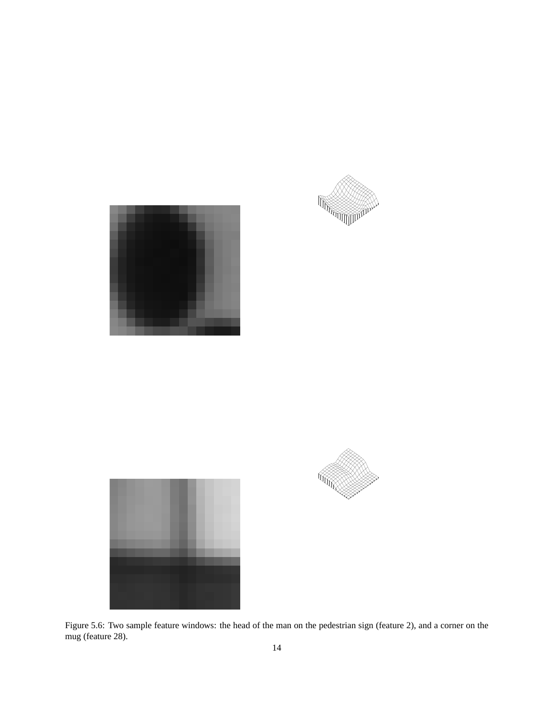







Figure 5.6: Two sample feature windows: the head of the man on the pedestrian sign (feature 2), and a corner on the mug (feature 28).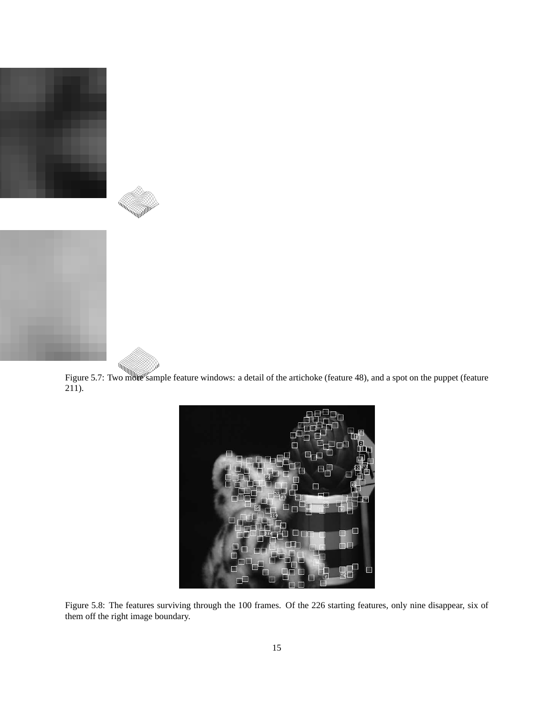



Figure 5.7: Two mole sample feature windows: a detail of the artichoke (feature 48), and a spot on the puppet (feature  $211$ ).



Figure 5.8: The features surviving through the 100 frames. Of the 226 starting features, only nine disappear, six of them off the right image boundary.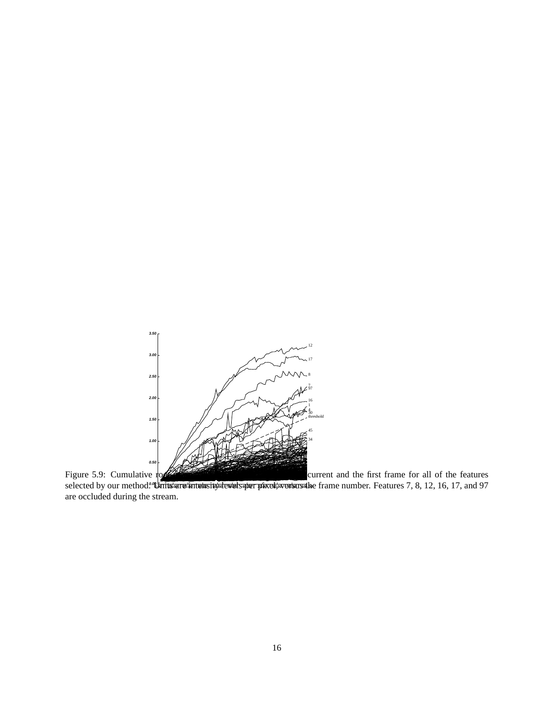

**0.00 0.00 10.00 20.00 30.00 40.00 50.00 60.00 70.00 80.00 90.00 100.00** selected by our method. **"Inits are intelasity devels per pixel, wersus the** frame number. Features 7, 8, 12, 16, 17, and 97 are occluded during the stream.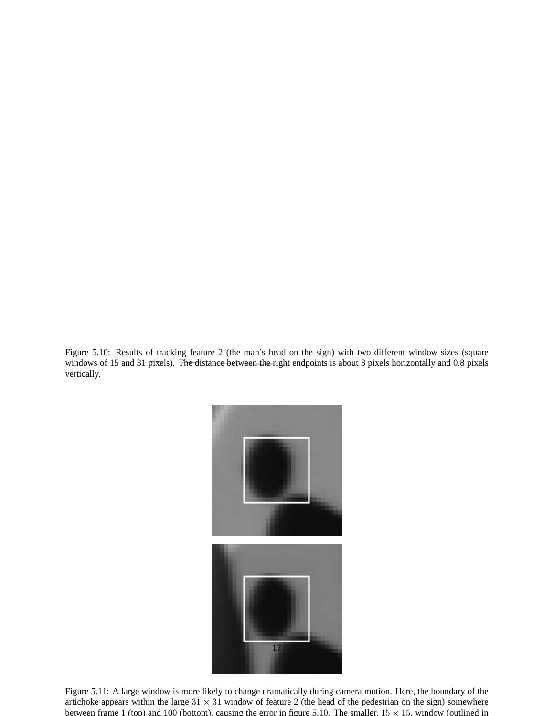Figure 5.10: Results of tracking feature 2 (the man's head on the sign) with two different window sizes (square windows of 15 and 31 pixels). The distance between the right endpoints is about 3 pixels horizontally and 0.8 pixels vertically.



Figure 5.11: A large window is more likely to change dramatically during camera motion. Here, the boundary of the artichoke appears within the large  $31 \times 31$  window of feature 2 (the head of the pedestrian on the sign) somewhere between frame 1 (top) and 100 (bottom), causing the error in figure 5.10. The smaller,  $15 \times 15$ , window (outlined in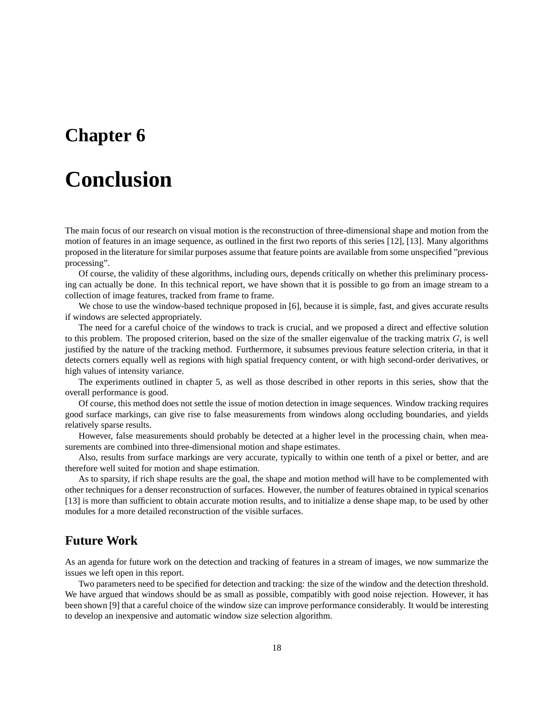# **Conclusion**

The main focus of our research on visual motion is the reconstruction of three-dimensional shape and motion from the motion of features in an image sequence, as outlined in the first two reports of this series [12], [13]. Many algorithms proposed in the literature for similar purposes assume that feature points are available from some unspecified "previous processing".

Of course, the validity of these algorithms, including ours, depends critically on whether this preliminary processing can actually be done. In this technical report, we have shown that it is possible to go from an image stream to a collection of image features, tracked from frame to frame.

We chose to use the window-based technique proposed in [6], because it is simple, fast, and gives accurate results if windows are selected appropriately.

The need for a careful choice of the windows to track is crucial, and we proposed a direct and effective solution to this problem. The proposed criterion, based on the size of the smaller eigenvalue of the tracking matrix  $G$ , is well justified by the nature of the tracking method. Furthermore, it subsumes previous feature selection criteria, in that it detects corners equally well as regions with high spatial frequency content, or with high second-order derivatives, or high values of intensity variance.

The experiments outlined in chapter 5, as well as those described in other reports in this series, show that the overall performance is good.

Of course, this method does not settle the issue of motion detection in image sequences. Window tracking requires good surface markings, can give rise to false measurements from windows along occluding boundaries, and yields relatively sparse results.

However, false measurements should probably be detected at a higher level in the processing chain, when measurements are combined into three-dimensional motion and shape estimates.

Also, results from surface markings are very accurate, typically to within one tenth of a pixel or better, and are therefore well suited for motion and shape estimation.

As to sparsity, if rich shape results are the goal, the shape and motion method will have to be complemented with other techniques for a denser reconstruction of surfaces. However, the number of features obtained in typical scenarios [13] is more than sufficient to obtain accurate motion results, and to initialize a dense shape map, to be used by other modules for a more detailed reconstruction of the visible surfaces.

### **Future Work**

As an agenda for future work on the detection and tracking of features in a stream of images, we now summarize the issues we left open in this report.

Two parameters need to be specified for detection and tracking: the size of the window and the detection threshold. We have argued that windows should be as small as possible, compatibly with good noise rejection. However, it has been shown [9] that a careful choice of the window size can improve performance considerably. It would be interesting to develop an inexpensive and automatic window size selection algorithm.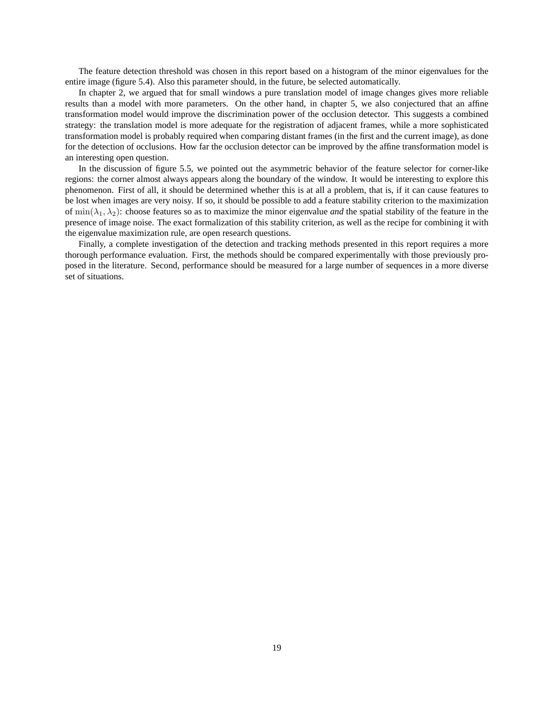The feature detection threshold was chosen in this report based on a histogram of the minor eigenvalues for the entire image (figure 5.4). Also this parameter should, in the future, be selected automatically.

In chapter 2, we argued that for small windows a pure translation model of image changes gives more reliable results than a model with more parameters. On the other hand, in chapter 5, we also conjectured that an affine transformation model would improve the discrimination power of the occlusion detector. This suggests a combined strategy: the translation model is more adequate for the registration of adjacent frames, while a more sophisticated transformation model is probably required when comparing distant frames (in the first and the current image), as done for the detection of occlusions. How far the occlusion detector can be improved by the affine transformation model is an interesting open question.

In the discussion of figure 5.5, we pointed out the asymmetric behavior of the feature selector for corner-like regions: the corner almost always appears along the boundary of the window. It would be interesting to explore this phenomenon. First of all, it should be determined whether this is at all a problem, that is, if it can cause features to be lost when images are very noisy. If so, it should be possible to add a feature stability criterion to the maximization of min $(\lambda_1, \lambda_2)$ : choose features so as to maximize the minor eigenvalue *and* the spatial stability of the feature in the presence of image noise. The exact formalization of this stability criterion, as well as the recipe for combining it with the eigenvalue maximization rule, are open research questions.

Finally, a complete investigation of the detection and tracking methods presented in this report requires a more thorough performance evaluation. First, the methods should be compared experimentally with those previously proposed in the literature. Second, performance should be measured for a large number of sequences in a more diverse set of situations.